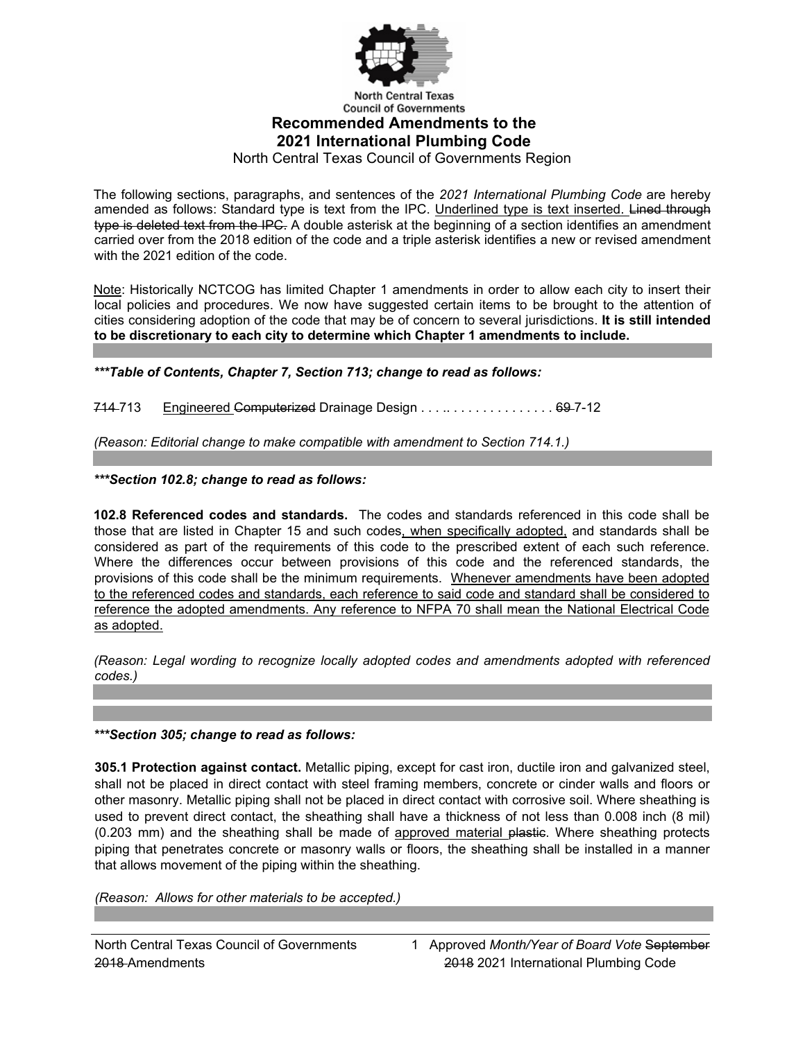

#### **Council of Governments Recommended Amendments to the 2021 International Plumbing Code**

North Central Texas Council of Governments Region

The following sections, paragraphs, and sentences of the *2021 International Plumbing Code* are hereby amended as follows: Standard type is text from the IPC. Underlined type is text inserted. Lined through type is deleted text from the IPC. A double asterisk at the beginning of a section identifies an amendment carried over from the 2018 edition of the code and a triple asterisk identifies a new or revised amendment with the 2021 edition of the code.

Note: Historically NCTCOG has limited Chapter 1 amendments in order to allow each city to insert their local policies and procedures. We now have suggested certain items to be brought to the attention of cities considering adoption of the code that may be of concern to several jurisdictions. **It is still intended to be discretionary to each city to determine which Chapter 1 amendments to include.**

*\*\*\*Table of Contents, Chapter 7, Section 713; change to read as follows:* 

714-713 Engineered Computerized Drainage Design . . . . . . . . . . . . . . . . . 69-7-12

*(Reason: Editorial change to make compatible with amendment to Section 714.1.)* 

*\*\*\*Section 102.8; change to read as follows:* 

**102.8 Referenced codes and standards.** The codes and standards referenced in this code shall be those that are listed in Chapter 15 and such codes, when specifically adopted, and standards shall be considered as part of the requirements of this code to the prescribed extent of each such reference. Where the differences occur between provisions of this code and the referenced standards, the provisions of this code shall be the minimum requirements. Whenever amendments have been adopted to the referenced codes and standards, each reference to said code and standard shall be considered to reference the adopted amendments. Any reference to NFPA 70 shall mean the National Electrical Code as adopted.

*(Reason: Legal wording to recognize locally adopted codes and amendments adopted with referenced codes.)* 

*\*\*\*Section 305; change to read as follows:* 

**305.1 Protection against contact.** Metallic piping, except for cast iron, ductile iron and galvanized steel, shall not be placed in direct contact with steel framing members, concrete or cinder walls and floors or other masonry. Metallic piping shall not be placed in direct contact with corrosive soil. Where sheathing is used to prevent direct contact, the sheathing shall have a thickness of not less than 0.008 inch (8 mil) (0.203 mm) and the sheathing shall be made of approved material plastie. Where sheathing protects piping that penetrates concrete or masonry walls or floors, the sheathing shall be installed in a manner that allows movement of the piping within the sheathing.

*(Reason: Allows for other materials to be accepted.)*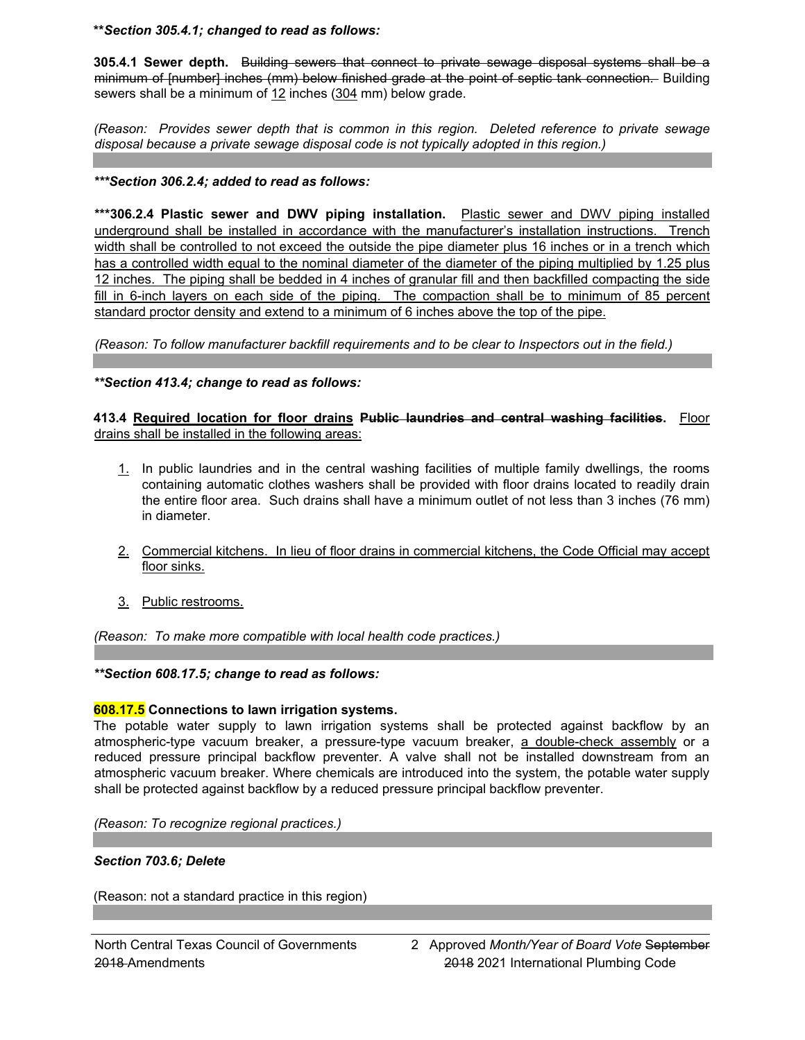**\*\****Section 305.4.1; changed to read as follows:*

**305.4.1 Sewer depth.** Building sewers that connect to private sewage disposal systems shall be a minimum of [number] inches (mm) below finished grade at the point of septic tank connection. Building sewers shall be a minimum of 12 inches (304 mm) below grade.

*(Reason: Provides sewer depth that is common in this region. Deleted reference to private sewage disposal because a private sewage disposal code is not typically adopted in this region.)* 

#### *\*\*\*Section 306.2.4; added to read as follows:*

**\*\*\*306.2.4 Plastic sewer and DWV piping installation.** Plastic sewer and DWV piping installed underground shall be installed in accordance with the manufacturer's installation instructions. Trench width shall be controlled to not exceed the outside the pipe diameter plus 16 inches or in a trench which has a controlled width equal to the nominal diameter of the diameter of the piping multiplied by 1.25 plus 12 inches. The piping shall be bedded in 4 inches of granular fill and then backfilled compacting the side fill in 6-inch layers on each side of the piping. The compaction shall be to minimum of 85 percent standard proctor density and extend to a minimum of 6 inches above the top of the pipe.

*(Reason: To follow manufacturer backfill requirements and to be clear to Inspectors out in the field.)*

*\*\*Section 413.4; change to read as follows:* 

**413.4 Required location for floor drains Public laundries and central washing facilities.** Floor drains shall be installed in the following areas:

- 1. In public laundries and in the central washing facilities of multiple family dwellings, the rooms containing automatic clothes washers shall be provided with floor drains located to readily drain the entire floor area. Such drains shall have a minimum outlet of not less than 3 inches (76 mm) in diameter.
- 2. Commercial kitchens. In lieu of floor drains in commercial kitchens, the Code Official may accept floor sinks.
- 3. Public restrooms.

*(Reason: To make more compatible with local health code practices.)* 

#### *\*\*Section 608.17.5; change to read as follows:*

#### **608.17.5 Connections to lawn irrigation systems.**

The potable water supply to lawn irrigation systems shall be protected against backflow by an atmospheric-type vacuum breaker, a pressure-type vacuum breaker, a double-check assembly or a reduced pressure principal backflow preventer. A valve shall not be installed downstream from an atmospheric vacuum breaker. Where chemicals are introduced into the system, the potable water supply shall be protected against backflow by a reduced pressure principal backflow preventer.

*(Reason: To recognize regional practices.)* 

#### *Section 703.6; Delete*

(Reason: not a standard practice in this region)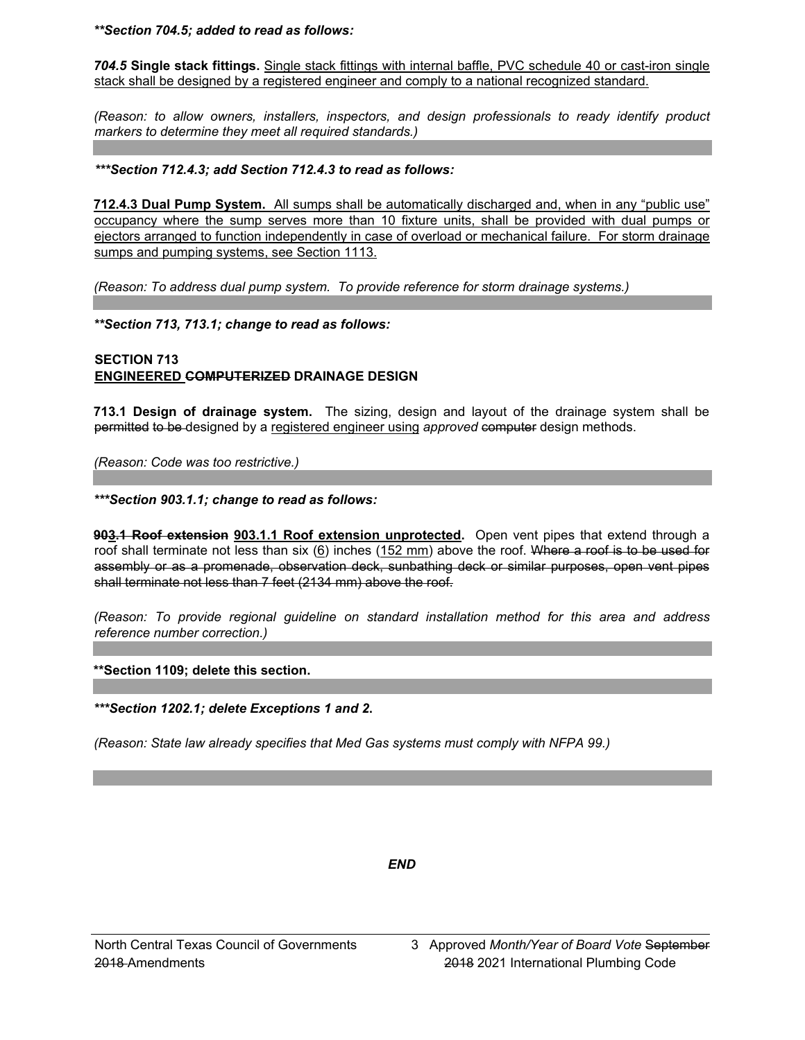*\*\*Section 704.5; added to read as follows:* 

*704.5* **Single stack fittings.** Single stack fittings with internal baffle, PVC schedule 40 or cast-iron single stack shall be designed by a registered engineer and comply to a national recognized standard.

*(Reason: to allow owners, installers, inspectors, and design professionals to ready identify product markers to determine they meet all required standards.)*

#### *\*\*\*Section 712.4.3; add Section 712.4.3 to read as follows:*

**712.4.3 Dual Pump System.** All sumps shall be automatically discharged and, when in any "public use" occupancy where the sump serves more than 10 fixture units, shall be provided with dual pumps or ejectors arranged to function independently in case of overload or mechanical failure. For storm drainage sumps and pumping systems, see Section 1113.

*(Reason: To address dual pump system. To provide reference for storm drainage systems.)* 

*\*\*Section 713, 713.1; change to read as follows:* 

## **SECTION 713 ENGINEERED COMPUTERIZED DRAINAGE DESIGN**

**713.1 Design of drainage system.** The sizing, design and layout of the drainage system shall be permitted to be designed by a registered engineer using *approved* computer design methods.

*(Reason: Code was too restrictive.)* 

*\*\*\*Section 903.1.1; change to read as follows:* 

**903.1 Roof extension 903.1.1 Roof extension unprotected.** Open vent pipes that extend through a roof shall terminate not less than six (6) inches (152 mm) above the roof. Where a roof is to be used for assembly or as a promenade, observation deck, sunbathing deck or similar purposes, open vent pipes shall terminate not less than 7 feet (2134 mm) above the roof.

*(Reason: To provide regional guideline on standard installation method for this area and address reference number correction.)* 

**\*\*Section 1109; delete this section.**

*\*\*\*Section 1202.1; delete Exceptions 1 and 2***.** 

*(Reason: State law already specifies that Med Gas systems must comply with NFPA 99.)*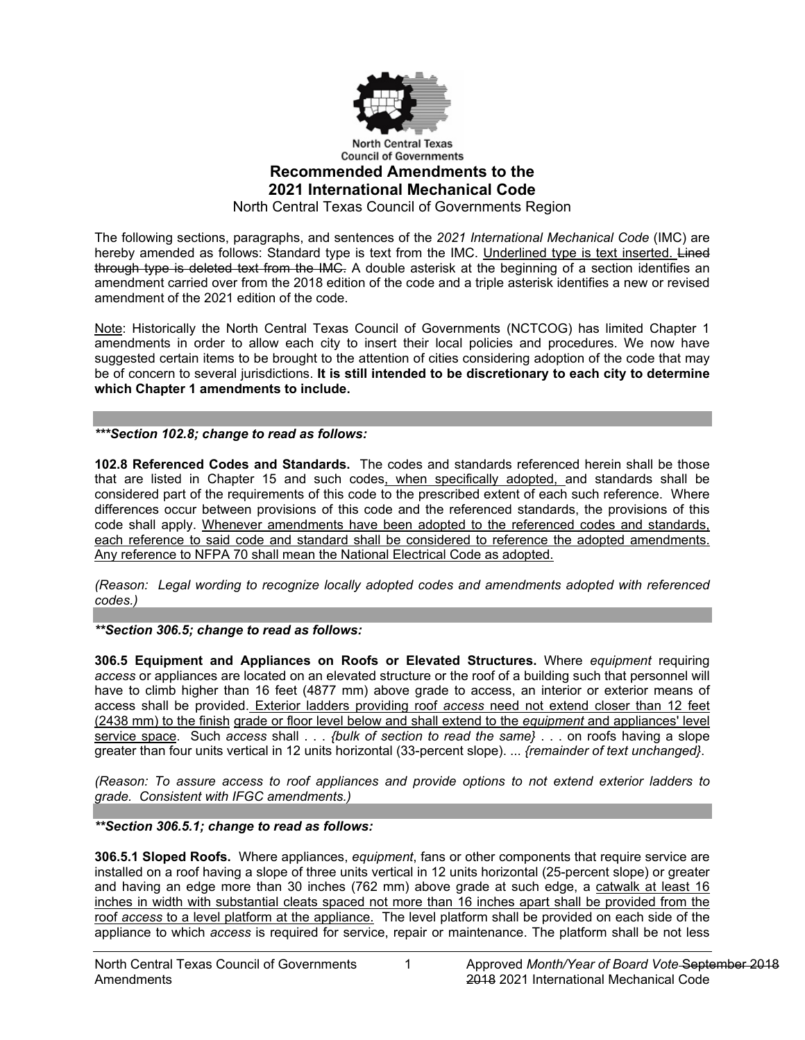

## **Council of Governments Recommended Amendments to the 2021 International Mechanical Code**

North Central Texas Council of Governments Region

The following sections, paragraphs, and sentences of the *2021 International Mechanical Code* (IMC) are hereby amended as follows: Standard type is text from the IMC. Underlined type is text inserted. Lined through type is deleted text from the IMC. A double asterisk at the beginning of a section identifies an amendment carried over from the 2018 edition of the code and a triple asterisk identifies a new or revised amendment of the 2021 edition of the code.

Note: Historically the North Central Texas Council of Governments (NCTCOG) has limited Chapter 1 amendments in order to allow each city to insert their local policies and procedures. We now have suggested certain items to be brought to the attention of cities considering adoption of the code that may be of concern to several jurisdictions. **It is still intended to be discretionary to each city to determine which Chapter 1 amendments to include.**

*\*\*\*Section 102.8; change to read as follows:*

**102.8 Referenced Codes and Standards.** The codes and standards referenced herein shall be those that are listed in Chapter 15 and such codes, when specifically adopted, and standards shall be considered part of the requirements of this code to the prescribed extent of each such reference. Where differences occur between provisions of this code and the referenced standards, the provisions of this code shall apply. Whenever amendments have been adopted to the referenced codes and standards, each reference to said code and standard shall be considered to reference the adopted amendments. Any reference to NFPA 70 shall mean the National Electrical Code as adopted.

*(Reason: Legal wording to recognize locally adopted codes and amendments adopted with referenced codes.)*

*\*\*Section 306.5; change to read as follows:*

**306.5 Equipment and Appliances on Roofs or Elevated Structures.** Where *equipment* requiring *access* or appliances are located on an elevated structure or the roof of a building such that personnel will have to climb higher than 16 feet (4877 mm) above grade to access, an interior or exterior means of access shall be provided. Exterior ladders providing roof *access* need not extend closer than 12 feet (2438 mm) to the finish grade or floor level below and shall extend to the *equipment* and appliances' level service space. Such *access* shall . . . *{bulk of section to read the same}* . . . on roofs having a slope greater than four units vertical in 12 units horizontal (33-percent slope). ... *{remainder of text unchanged}*.

*(Reason: To assure access to roof appliances and provide options to not extend exterior ladders to grade. Consistent with IFGC amendments.)*

### *\*\*Section 306.5.1; change to read as follows:*

**306.5.1 Sloped Roofs.** Where appliances, *equipment*, fans or other components that require service are installed on a roof having a slope of three units vertical in 12 units horizontal (25-percent slope) or greater and having an edge more than 30 inches (762 mm) above grade at such edge, a catwalk at least 16 inches in width with substantial cleats spaced not more than 16 inches apart shall be provided from the roof *access* to a level platform at the appliance. The level platform shall be provided on each side of the appliance to which *access* is required for service, repair or maintenance. The platform shall be not less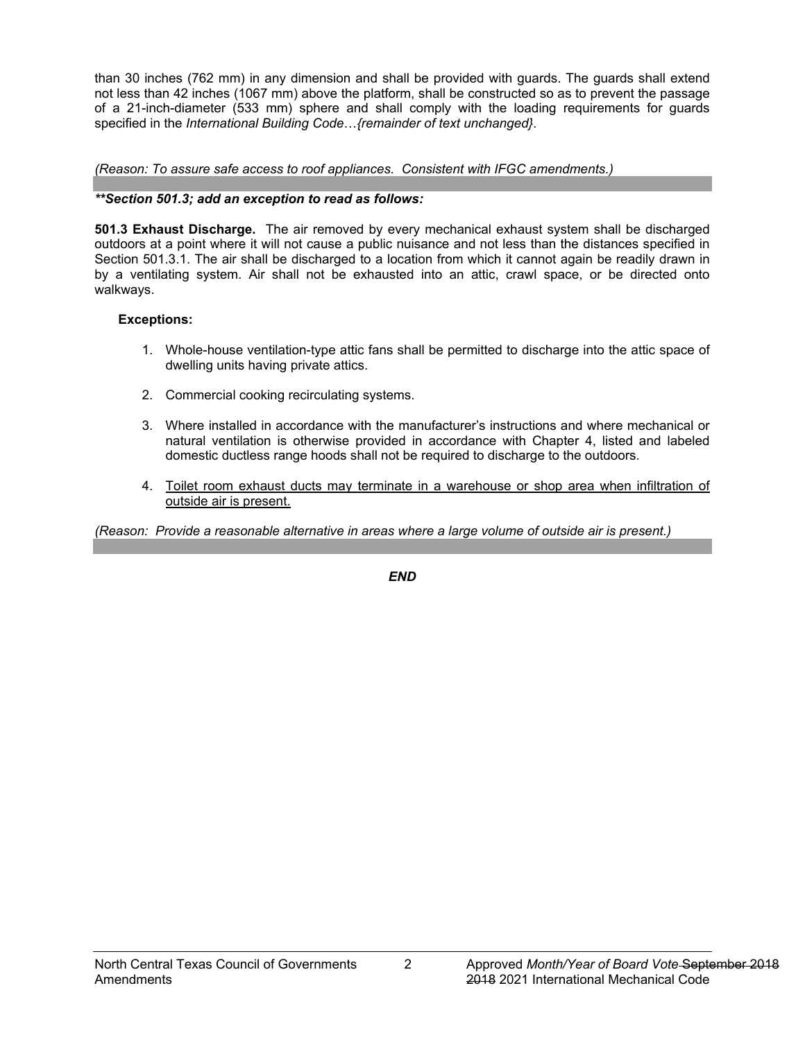than 30 inches (762 mm) in any dimension and shall be provided with guards. The guards shall extend not less than 42 inches (1067 mm) above the platform, shall be constructed so as to prevent the passage of a 21-inch-diameter (533 mm) sphere and shall comply with the loading requirements for guards specified in the *International Building Code*…*{remainder of text unchanged}*.

*(Reason: To assure safe access to roof appliances. Consistent with IFGC amendments.)*

## *\*\*Section 501.3; add an exception to read as follows:*

**501.3 Exhaust Discharge.** The air removed by every mechanical exhaust system shall be discharged outdoors at a point where it will not cause a public nuisance and not less than the distances specified in Section 501.3.1. The air shall be discharged to a location from which it cannot again be readily drawn in by a ventilating system. Air shall not be exhausted into an attic, crawl space, or be directed onto walkways.

## **Exceptions:**

- 1. Whole-house ventilation-type attic fans shall be permitted to discharge into the attic space of dwelling units having private attics.
- 2. Commercial cooking recirculating systems.
- 3. Where installed in accordance with the manufacturer's instructions and where mechanical or natural ventilation is otherwise provided in accordance with Chapter 4, listed and labeled domestic ductless range hoods shall not be required to discharge to the outdoors.
- 4. Toilet room exhaust ducts may terminate in a warehouse or shop area when infiltration of outside air is present.

*(Reason: Provide a reasonable alternative in areas where a large volume of outside air is present.)*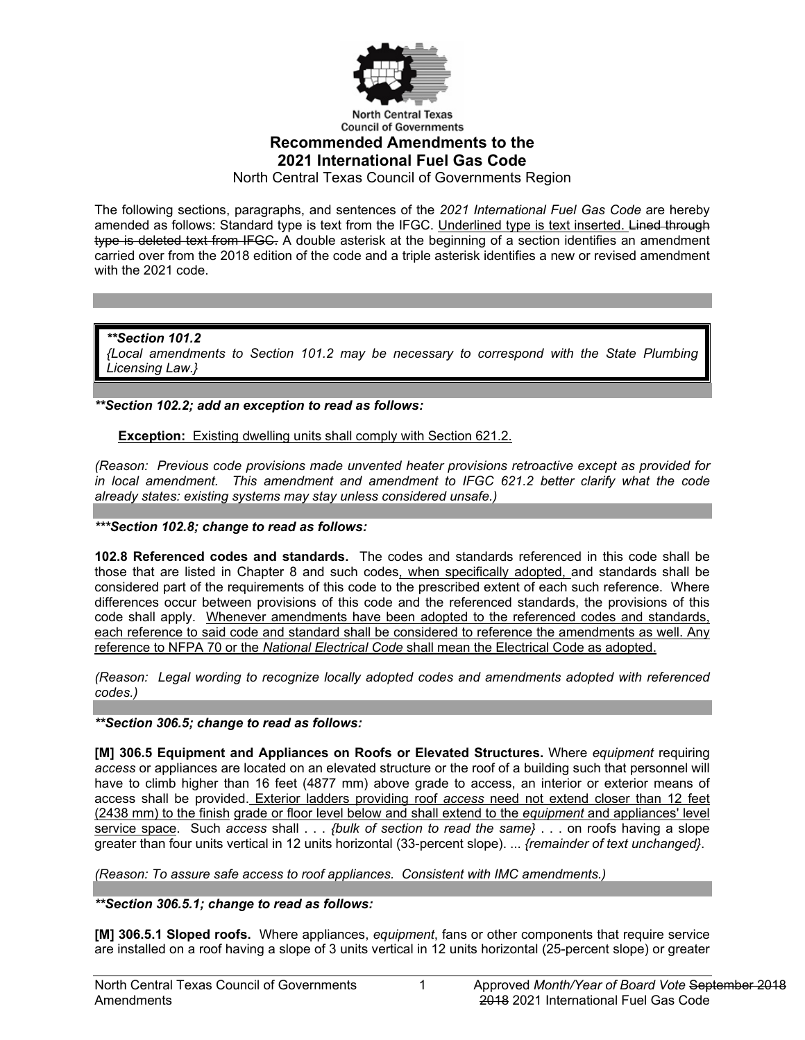

# **Council of Governments Recommended Amendments to the 2021 International Fuel Gas Code**

North Central Texas Council of Governments Region

The following sections, paragraphs, and sentences of the *2021 International Fuel Gas Code* are hereby amended as follows: Standard type is text from the IFGC. Underlined type is text inserted. Lined through type is deleted text from IFGC. A double asterisk at the beginning of a section identifies an amendment carried over from the 2018 edition of the code and a triple asterisk identifies a new or revised amendment with the 2021 code.

*\*\*Section 101.2 {Local amendments to Section 101.2 may be necessary to correspond with the State Plumbing Licensing Law.}*

*\*\*Section 102.2; add an exception to read as follows:*

**Exception:** Existing dwelling units shall comply with Section 621.2.

*(Reason: Previous code provisions made unvented heater provisions retroactive except as provided for in local amendment. This amendment and amendment to IFGC 621.2 better clarify what the code already states: existing systems may stay unless considered unsafe.)*

*\*\*\*Section 102.8; change to read as follows:*

**102.8 Referenced codes and standards.** The codes and standards referenced in this code shall be those that are listed in Chapter 8 and such codes, when specifically adopted, and standards shall be considered part of the requirements of this code to the prescribed extent of each such reference. Where differences occur between provisions of this code and the referenced standards, the provisions of this code shall apply. Whenever amendments have been adopted to the referenced codes and standards, each reference to said code and standard shall be considered to reference the amendments as well. Any reference to NFPA 70 or the *National Electrical Code* shall mean the Electrical Code as adopted.

*(Reason: Legal wording to recognize locally adopted codes and amendments adopted with referenced codes.)*

*\*\*Section 306.5; change to read as follows:* 

**[M] 306.5 Equipment and Appliances on Roofs or Elevated Structures.** Where *equipment* requiring *access* or appliances are located on an elevated structure or the roof of a building such that personnel will have to climb higher than 16 feet (4877 mm) above grade to access, an interior or exterior means of access shall be provided. Exterior ladders providing roof *access* need not extend closer than 12 feet (2438 mm) to the finish grade or floor level below and shall extend to the *equipment* and appliances' level service space. Such *access* shall . . . *{bulk of section to read the same}* . . . on roofs having a slope greater than four units vertical in 12 units horizontal (33-percent slope). ... *{remainder of text unchanged}*.

*(Reason: To assure safe access to roof appliances. Consistent with IMC amendments.)*

*\*\*Section 306.5.1; change to read as follows:*

**[M] 306.5.1 Sloped roofs.** Where appliances, *equipment*, fans or other components that require service are installed on a roof having a slope of 3 units vertical in 12 units horizontal (25-percent slope) or greater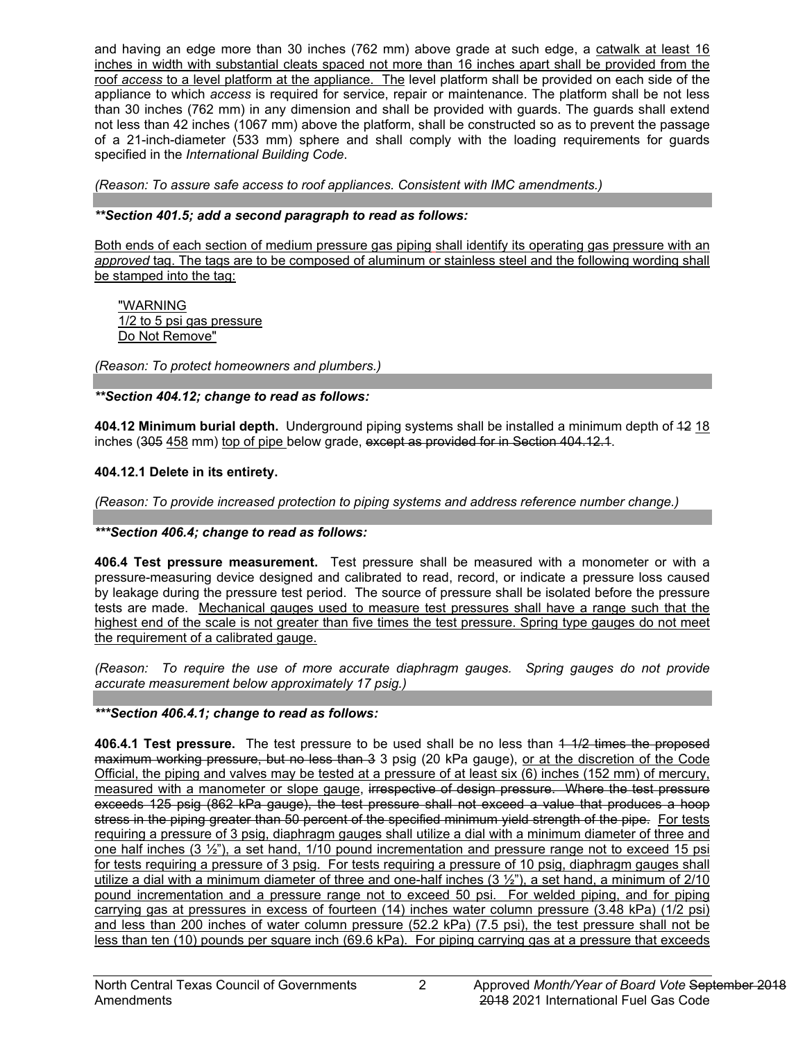and having an edge more than 30 inches (762 mm) above grade at such edge, a catwalk at least 16 inches in width with substantial cleats spaced not more than 16 inches apart shall be provided from the roof *access* to a level platform at the appliance. The level platform shall be provided on each side of the appliance to which *access* is required for service, repair or maintenance. The platform shall be not less than 30 inches (762 mm) in any dimension and shall be provided with guards. The guards shall extend not less than 42 inches (1067 mm) above the platform, shall be constructed so as to prevent the passage of a 21-inch-diameter (533 mm) sphere and shall comply with the loading requirements for guards specified in the *International Building Code*.

*(Reason: To assure safe access to roof appliances. Consistent with IMC amendments.)*

## *\*\*Section 401.5; add a second paragraph to read as follows:*

Both ends of each section of medium pressure gas piping shall identify its operating gas pressure with an *approved* tag. The tags are to be composed of aluminum or stainless steel and the following wording shall be stamped into the tag:

"WARNING 1/2 to 5 psi gas pressure Do Not Remove"

*(Reason: To protect homeowners and plumbers.)*

*\*\*Section 404.12; change to read as follows:*

**404.12 Minimum burial depth.** Underground piping systems shall be installed a minimum depth of 12 18 inches (305 458 mm) top of pipe below grade, except as provided for in Section 404.12.1.

## **404.12.1 Delete in its entirety.**

*(Reason: To provide increased protection to piping systems and address reference number change.)*

### *\*\*\*Section 406.4; change to read as follows:*

**406.4 Test pressure measurement.** Test pressure shall be measured with a monometer or with a pressure-measuring device designed and calibrated to read, record, or indicate a pressure loss caused by leakage during the pressure test period. The source of pressure shall be isolated before the pressure tests are made. Mechanical gauges used to measure test pressures shall have a range such that the highest end of the scale is not greater than five times the test pressure. Spring type gauges do not meet the requirement of a calibrated gauge.

*(Reason: To require the use of more accurate diaphragm gauges. Spring gauges do not provide accurate measurement below approximately 17 psig.)*

# *\*\*\*Section 406.4.1; change to read as follows:*

**406.4.1 Test pressure.** The test pressure to be used shall be no less than 4 1/2 times the proposed maximum working pressure, but no less than 3 3 psig (20 kPa gauge), or at the discretion of the Code Official, the piping and valves may be tested at a pressure of at least six (6) inches (152 mm) of mercury, measured with a manometer or slope gauge, irrespective of design pressure. Where the test pressure exceeds 125 psig (862 kPa gauge), the test pressure shall not exceed a value that produces a hoop stress in the piping greater than 50 percent of the specified minimum yield strength of the pipe. For tests requiring a pressure of 3 psig, diaphragm gauges shall utilize a dial with a minimum diameter of three and one half inches (3  $\frac{1}{2}$ "), a set hand, 1/10 pound incrementation and pressure range not to exceed 15 psi for tests requiring a pressure of 3 psig. For tests requiring a pressure of 10 psig, diaphragm gauges shall utilize a dial with a minimum diameter of three and one-half inches (3 ½"), a set hand, a minimum of 2/10 pound incrementation and a pressure range not to exceed 50 psi. For welded piping, and for piping carrying gas at pressures in excess of fourteen (14) inches water column pressure (3.48 kPa) (1/2 psi) and less than 200 inches of water column pressure (52.2 kPa) (7.5 psi), the test pressure shall not be less than ten (10) pounds per square inch (69.6 kPa). For piping carrying gas at a pressure that exceeds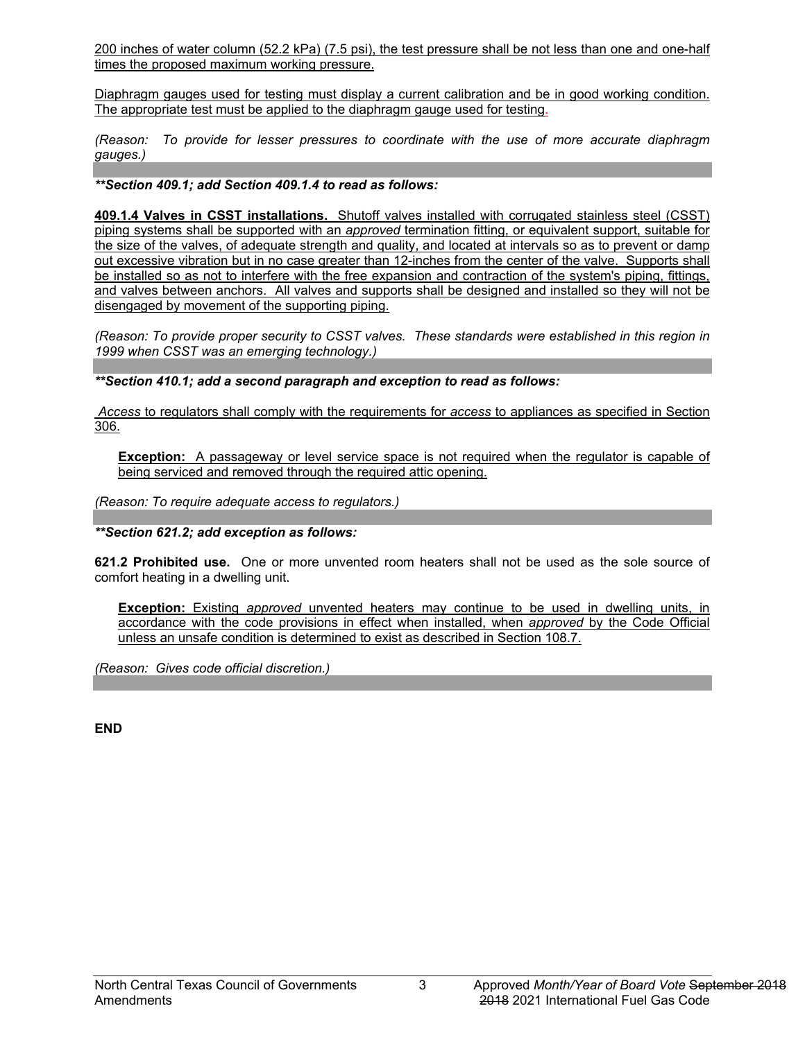200 inches of water column (52.2 kPa) (7.5 psi), the test pressure shall be not less than one and one-half times the proposed maximum working pressure.

Diaphragm gauges used for testing must display a current calibration and be in good working condition. The appropriate test must be applied to the diaphragm gauge used for testing.

*(Reason: To provide for lesser pressures to coordinate with the use of more accurate diaphragm gauges.)* 

*\*\*Section 409.1; add Section 409.1.4 to read as follows:*

**409.1.4 Valves in CSST installations.** Shutoff valves installed with corrugated stainless steel (CSST) piping systems shall be supported with an *approved* termination fitting, or equivalent support, suitable for the size of the valves, of adequate strength and quality, and located at intervals so as to prevent or damp out excessive vibration but in no case greater than 12-inches from the center of the valve. Supports shall be installed so as not to interfere with the free expansion and contraction of the system's piping, fittings, and valves between anchors. All valves and supports shall be designed and installed so they will not be disengaged by movement of the supporting piping.

*(Reason: To provide proper security to CSST valves. These standards were established in this region in 1999 when CSST was an emerging technology.)*

*\*\*Section 410.1; add a second paragraph and exception to read as follows:*

*Access* to regulators shall comply with the requirements for *access* to appliances as specified in Section 306.

**Exception:** A passageway or level service space is not required when the regulator is capable of being serviced and removed through the required attic opening.

*(Reason: To require adequate access to regulators.)*

*\*\*Section 621.2; add exception as follows:*

**621.2 Prohibited use.** One or more unvented room heaters shall not be used as the sole source of comfort heating in a dwelling unit.

**Exception:** Existing *approved* unvented heaters may continue to be used in dwelling units, in accordance with the code provisions in effect when installed, when *approved* by the Code Official unless an unsafe condition is determined to exist as described in Section 108.7.

*(Reason: Gives code official discretion.)*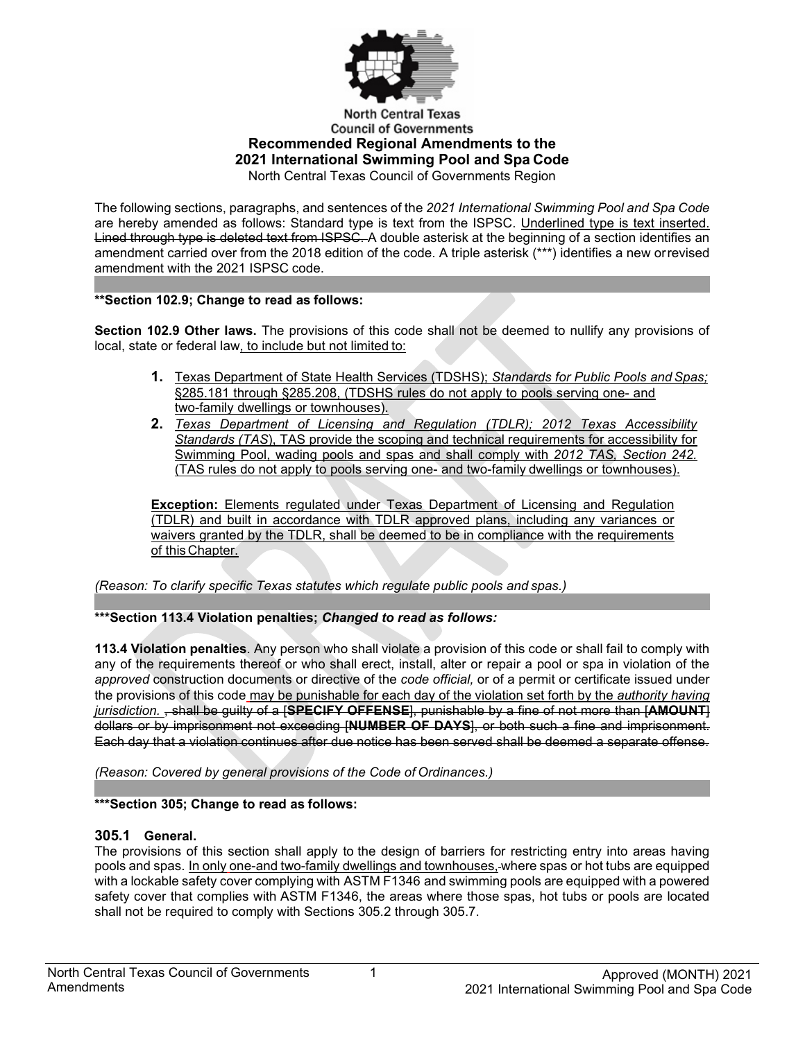

#### **North Central Texas Council of Governments Recommended Regional Amendments to the 2021 International Swimming Pool and Spa Code** North Central Texas Council of Governments Region

The following sections, paragraphs, and sentences of the *2021 International Swimming Pool and Spa Code*  are hereby amended as follows: Standard type is text from the ISPSC. Underlined type is text inserted. Lined through type is deleted text from ISPSC. A double asterisk at the beginning of a section identifies an amendment carried over from the 2018 edition of the code. A triple asterisk (\*\*\*) identifies a new orrevised amendment with the 2021 ISPSC code.

## **\*\*Section 102.9; Change to read as follows:**

**Section 102.9 Other laws.** The provisions of this code shall not be deemed to nullify any provisions of local, state or federal law, to include but not limited to:

- **1.** Texas Department of State Health Services (TDSHS); *Standards for Public Pools andSpas;* §285.181 through §285.208, (TDSHS rules do not apply to pools serving one- and two-family dwellings or townhouses).
- **2.** *Texas Department of Licensing and Regulation (TDLR); 2012 Texas Accessibility Standards (TAS*), TAS provide the scoping and technical requirements for accessibility for Swimming Pool, wading pools and spas and shall comply with *2012 TAS, Section 242.*  (TAS rules do not apply to pools serving one- and two-family dwellings or townhouses).

**Exception:** Elements regulated under Texas Department of Licensing and Regulation (TDLR) and built in accordance with TDLR approved plans, including any variances or waivers granted by the TDLR, shall be deemed to be in compliance with the requirements of this Chapter.

*(Reason: To clarify specific Texas statutes which regulate public pools and spas.)*

# **\*\*\*Section 113.4 Violation penalties;** *Changed to read as follows:*

**113.4 Violation penalties**. Any person who shall violate a provision of this code or shall fail to comply with any of the requirements thereof or who shall erect, install, alter or repair a pool or spa in violation of the *approved* construction documents or directive of the *code official,* or of a permit or certificate issued under the provisions of this code may be punishable for each day of the violation set forth by the *authority having jurisdiction.* , shall be guilty of a [**SPECIFY OFFENSE**], punishable by a fine of not more than [**AMOUNT**] dollars or by imprisonment not exceeding [**NUMBER OF DAYS**], or both such a fine and imprisonment. Each day that a violation continues after due notice has been served shall be deemed a separate offense.

*(Reason: Covered by general provisions of the Code of Ordinances.)*

### **\*\*\*Section 305; Change to read as follows:**

### **305.1 General.**

The provisions of this section shall apply to the design of barriers for restricting entry into areas having pools and spas. In only one-and two-family dwellings and townhouses, where spas or hot tubs are equipped with a lockable safety cover complying with [ASTM F1346](https://codes.iccsafe.org/premium/document/linkit/ISPSC2018_Ch11_PromASTM_RefStdF1346_91_2010/995/11715724/text-id-11715782) and swimming pools are equipped with a powered safety cover that complies with [ASTM F1346,](https://codes.iccsafe.org/premium/document/linkit/ISPSC2018_Ch11_PromASTM_RefStdF1346_91_2010/995/11715724/text-id-11715782) the areas where those spas, hot tubs or pools are located shall not be required to comply with [Sections 305.2](https://codes.iccsafe.org/premium/document/linkit/ISPSC2018_Ch03_Sec305.2/995/11715724/text-id-11715782) through [305.7.](https://codes.iccsafe.org/premium/document/linkit/ISPSC2018_Ch03_Sec305.7/995/11715724/text-id-11715782)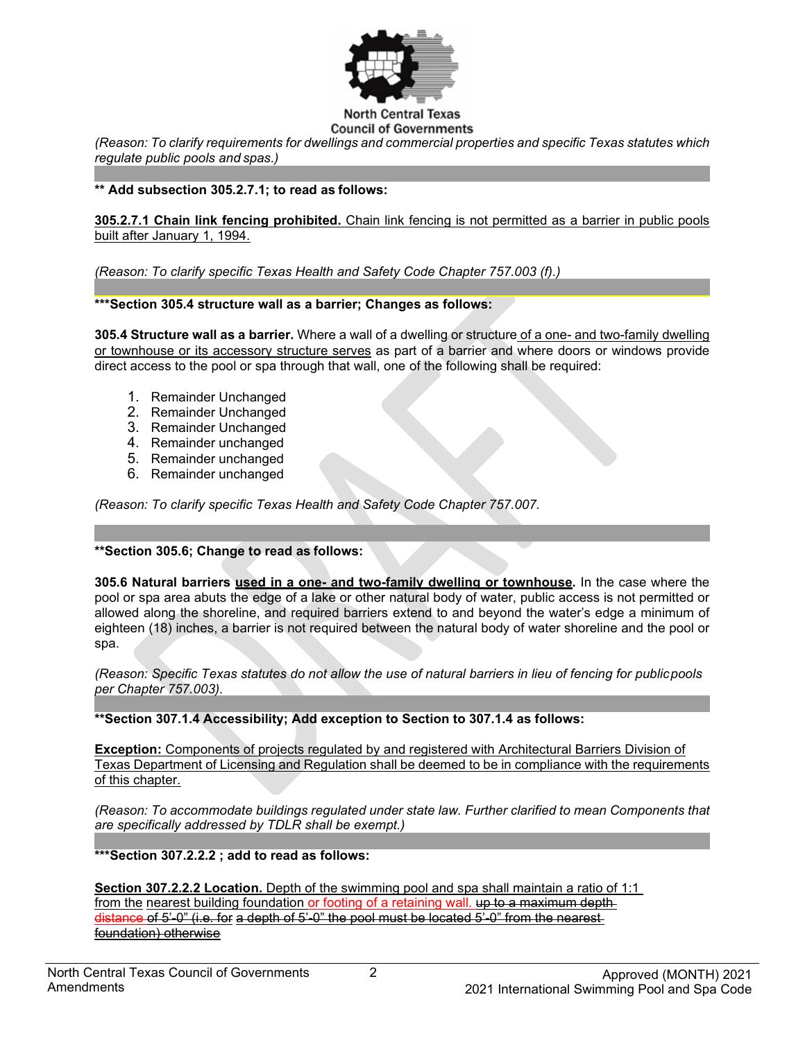

## **Council of Governments**

*(Reason: To clarify requirements for dwellings and commercial properties and specific Texas statutes which regulate public pools and spas.)*

#### **\*\* Add subsection 305.2.7.1; to read as follows:**

**305.2.7.1 Chain link fencing prohibited.** Chain link fencing is not permitted as a barrier in public pools built after January 1, 1994.

*(Reason: To clarify specific Texas Health and Safety Code Chapter 757.003 (f).)*

#### **\*\*\*Section 305.4 structure wall as a barrier; Changes as follows:**

**305.4 Structure wall as a barrier.** Where a wall of a dwelling or structure of a one- and two-family dwelling or townhouse or its accessory structure serves as part of a barrier and where doors or windows provide direct access to the pool or spa through that wall, one of the following shall be required:

- 1. Remainder Unchanged
- 2. Remainder Unchanged
- 3. Remainder Unchanged
- 4. Remainder unchanged
- 5. Remainder unchanged
- 6. Remainder unchanged

*(Reason: To clarify specific Texas Health and Safety Code Chapter 757.007.*

### **\*\*Section 305.6; Change to read as follows:**

**305.6 Natural barriers used in a one- and two-family dwelling or townhouse.** In the case where the pool or spa area abuts the edge of a lake or other natural body of water, public access is not permitted or allowed along the shoreline, and required barriers extend to and beyond the water's edge a minimum of eighteen (18) inches, a barrier is not required between the natural body of water shoreline and the pool or spa.

*(Reason: Specific Texas statutes do not allow the use of natural barriers in lieu of fencing for publicpools per Chapter 757.003).* 

**\*\*Section 307.1.4 Accessibility; Add exception to Section to 307.1.4 as follows:** 

**Exception:** Components of projects regulated by and registered with Architectural Barriers Division of Texas Department of Licensing and Regulation shall be deemed to be in compliance with the requirements of this chapter.

*(Reason: To accommodate buildings regulated under state law. Further clarified to mean Components that are specifically addressed by TDLR shall be exempt.)*

**\*\*\*Section 307.2.2.2 ; add to read as follows:**

**Section 307.2.2.2 Location.** Depth of the swimming pool and spa shall maintain a ratio of 1:1 from the nearest building foundation or footing of a retaining wall. up to a maximum depth distance of 5'-0" (i.e. for a depth of 5'-0" the pool must be located 5'-0" from the nearest foundation) otherwise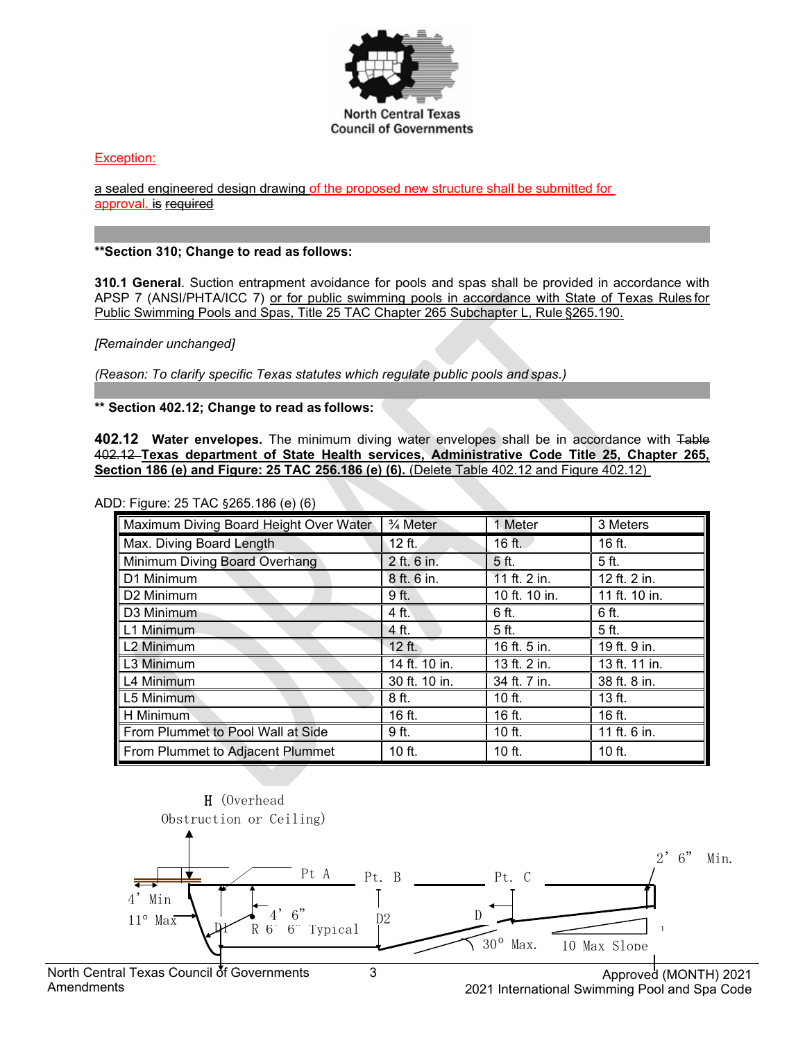

### Exception:

a sealed engineered design drawing of the proposed new structure shall be submitted for approval. is required

#### **\*\*Section 310; Change to read as follows:**

**310.1 General**. Suction entrapment avoidance for pools and spas shall be provided in accordance with APSP 7 (ANSI/PHTA/ICC 7) or for public swimming pools in accordance with State of Texas Rules for Public Swimming Pools and Spas, Title 25 TAC Chapter 265 Subchapter L, Rule §265.190.

#### *[Remainder unchanged]*

*(Reason: To clarify specific Texas statutes which regulate public pools and spas.)*

**\*\* Section 402.12; Change to read as follows:**

**402.12 Water envelopes.** The minimum diving water envelopes shall be in accordance with Table 402.12 **Texas department of State Health services, Administrative Code Title 25, Chapter 265, Section 186 (e) and Figure: 25 TAC 256.186 (e) (6).** (Delete Table 402.12 and Figure 402.12)

ADD: Figure: 25 TAC §265.186 (e) (6)

| Maximum Diving Board Height Over Water | $\frac{3}{4}$ Meter | 1 Meter          | 3 Meters                  |
|----------------------------------------|---------------------|------------------|---------------------------|
| Max. Diving Board Length               | $12$ ft.            | 16 ft.           | 16 ft.                    |
| Minimum Diving Board Overhang          | 2 ft. 6 in.         | 5 ft.            | 5 ft.                     |
| D1 Minimum                             | 8 ft. 6 in.         | 11 ft. 2 in.     | 12 ft. 2 in.              |
| D2 Minimum                             | 9 ft.               | 10 ft. 10 in.    | 11 ft. 10 in.             |
| D3 Minimum                             | 4 ft.               | 6 ft.            | 6 ft.                     |
| L1 Minimum                             | 4 ft.               | 5 ft.            | 5 ft.                     |
| L <sub>2</sub> Minimum                 | 12 ft.              | $16$ ft. $5$ in. | $\overline{19}$ ft. 9 in. |
| L3 Minimum                             | 14 ft. 10 in.       | 13 ft. 2 in.     | 13 ft. 11 in.             |
| L4 Minimum                             | 30 ft. 10 in.       | 34 ft. 7 in.     | 38 ft. 8 in.              |
| L5 Minimum                             | 8 ft.               | $10$ ft.         | 13 ft.                    |
| H Minimum                              | 16 ft.              | 16 ft.           | 16 ft.                    |
| From Plummet to Pool Wall at Side      | 9 ft.               | 10 ft.           | 11 ft. 6 in.              |
| From Plummet to Adjacent Plummet       | 10 ft.              | $10$ ft.         | 10 ft.                    |



2021 International Swimming Pool and Spa Code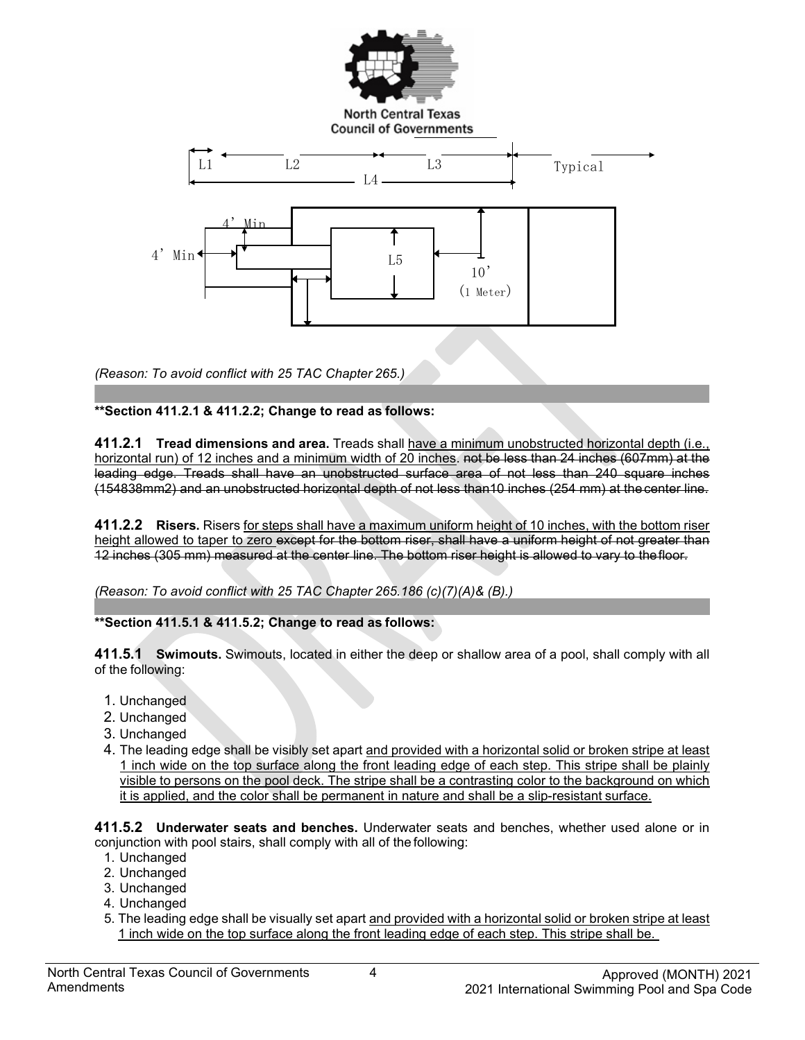

**North Central Texas Council of Governments** 



*(Reason: To avoid conflict with 25 TAC Chapter 265.)*

## **\*\*Section 411.2.1 & 411.2.2; Change to read as follows:**

**411.2.1 Tread dimensions and area.** Treads shall have a minimum unobstructed horizontal depth (i.e., horizontal run) of 12 inches and a minimum width of 20 inches. not be less than 24 inches (607mm) at the leading edge. Treads shall have an unobstructed surface area of not less than 240 square inches (154838mm2) and an unobstructed horizontal depth of not less than10 inches (254 mm) at the center line.

**411.2.2 Risers.** Risers for steps shall have a maximum uniform height of 10 inches, with the bottom riser height allowed to taper to zero except for the bottom riser, shall have a uniform height of not greater than 12 inches (305 mm) measured at the center line. The bottom riser height is allowed to vary to thefloor.

*(Reason: To avoid conflict with 25 TAC Chapter 265.186 (c)(7)(A)& (B).)*

# **\*\*Section 411.5.1 & 411.5.2; Change to read as follows:**

**411.5.1 Swimouts.** Swimouts, located in either the deep or shallow area of a pool, shall comply with all of the following:

- 1. Unchanged
- 2. Unchanged
- 3. Unchanged
- 4. The leading edge shall be visibly set apart and provided with a horizontal solid or broken stripe at least 1 inch wide on the top surface along the front leading edge of each step. This stripe shall be plainly visible to persons on the pool deck. The stripe shall be a contrasting color to the background on which it is applied, and the color shall be permanent in nature and shall be a slip-resistant surface.

**411.5.2 Underwater seats and benches.** Underwater seats and benches, whether used alone or in conjunction with pool stairs, shall comply with all of the following:

- 1. Unchanged
- 2. Unchanged
- 3. Unchanged
- 4. Unchanged
- 5. The leading edge shall be visually set apart and provided with a horizontal solid or broken stripe at least 1 inch wide on the top surface along the front leading edge of each step. This stripe shall be.